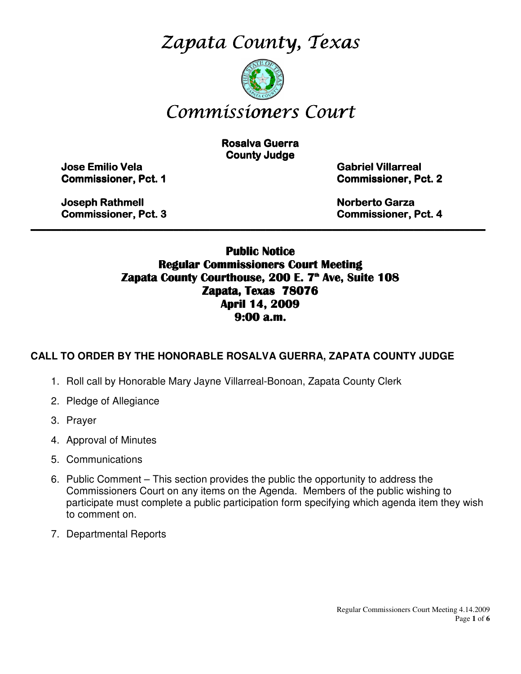Zapata County, Texas



# Commissioners Court

**Rosalva Guerra County Judge** 

Jose Emilio Vela Emilio Vela Vela Gabriel Villarreal Villarreal Villarreal

**Commissioner, Pct. 1 Commissioner, Pct. 2** 

Joseph Rathmell Rathmell Norberto Garza Garza Garza

Commissioner, Pct. 3 3 Commissioner, Pct. 4

## Public Notice Regular Commissioners Court Meeting Zapata County Courthouse, 200 E. 7<sup>th</sup> Ave, Suite 108 Zapata, Texas 78076 April 14, 2009 9:00 a.m.

 $\_$  , and the contribution of the contribution of the contribution of the contribution of the contribution of the contribution of the contribution of the contribution of the contribution of the contribution of the contrib

# **CALL TO ORDER BY THE HONORABLE ROSALVA GUERRA, ZAPATA COUNTY JUDGE**

- 1. Roll call by Honorable Mary Jayne Villarreal-Bonoan, Zapata County Clerk
- 2. Pledge of Allegiance
- 3. Prayer
- 4. Approval of Minutes
- 5. Communications
- 6. Public Comment This section provides the public the opportunity to address the Commissioners Court on any items on the Agenda. Members of the public wishing to participate must complete a public participation form specifying which agenda item they wish to comment on.
- 7. Departmental Reports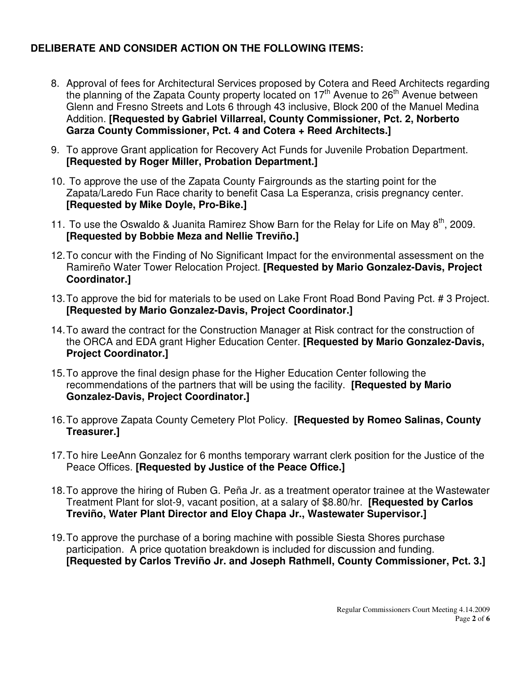# **DELIBERATE AND CONSIDER ACTION ON THE FOLLOWING ITEMS:**

- 8. Approval of fees for Architectural Services proposed by Cotera and Reed Architects regarding the planning of the Zapata County property located on 17<sup>th</sup> Avenue to 26<sup>th</sup> Avenue between Glenn and Fresno Streets and Lots 6 through 43 inclusive, Block 200 of the Manuel Medina Addition. **[Requested by Gabriel Villarreal, County Commissioner, Pct. 2, Norberto Garza County Commissioner, Pct. 4 and Cotera + Reed Architects.]**
- 9. To approve Grant application for Recovery Act Funds for Juvenile Probation Department. **[Requested by Roger Miller, Probation Department.]**
- 10. To approve the use of the Zapata County Fairgrounds as the starting point for the Zapata/Laredo Fun Race charity to benefit Casa La Esperanza, crisis pregnancy center. **[Requested by Mike Doyle, Pro-Bike.]**
- 11. To use the Oswaldo & Juanita Ramirez Show Barn for the Relay for Life on May  $8^{th}$ , 2009. **[Requested by Bobbie Meza and Nellie Treviño.]**
- 12. To concur with the Finding of No Significant Impact for the environmental assessment on the Ramireño Water Tower Relocation Project. **[Requested by Mario Gonzalez-Davis, Project Coordinator.]**
- 13. To approve the bid for materials to be used on Lake Front Road Bond Paving Pct. # 3 Project. **[Requested by Mario Gonzalez-Davis, Project Coordinator.]**
- 14. To award the contract for the Construction Manager at Risk contract for the construction of the ORCA and EDA grant Higher Education Center. **[Requested by Mario Gonzalez-Davis, Project Coordinator.]**
- 15. To approve the final design phase for the Higher Education Center following the recommendations of the partners that will be using the facility. **[Requested by Mario Gonzalez-Davis, Project Coordinator.]**
- 16. To approve Zapata County Cemetery Plot Policy. **[Requested by Romeo Salinas, County Treasurer.]**
- 17. To hire LeeAnn Gonzalez for 6 months temporary warrant clerk position for the Justice of the Peace Offices. **[Requested by Justice of the Peace Office.]**
- 18. To approve the hiring of Ruben G. Peña Jr. as a treatment operator trainee at the Wastewater Treatment Plant for slot-9, vacant position, at a salary of \$8.80/hr. **[Requested by Carlos Treviño, Water Plant Director and Eloy Chapa Jr., Wastewater Supervisor.]**
- 19. To approve the purchase of a boring machine with possible Siesta Shores purchase participation. A price quotation breakdown is included for discussion and funding. **[Requested by Carlos Treviño Jr. and Joseph Rathmell, County Commissioner, Pct. 3.]**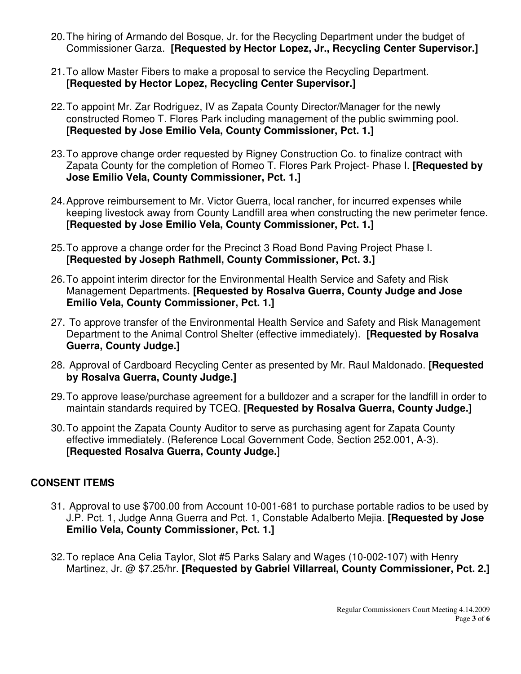- 20. The hiring of Armando del Bosque, Jr. for the Recycling Department under the budget of Commissioner Garza. **[Requested by Hector Lopez, Jr., Recycling Center Supervisor.]**
- 21. To allow Master Fibers to make a proposal to service the Recycling Department. **[Requested by Hector Lopez, Recycling Center Supervisor.]**
- 22. To appoint Mr. Zar Rodriguez, IV as Zapata County Director/Manager for the newly constructed Romeo T. Flores Park including management of the public swimming pool. **[Requested by Jose Emilio Vela, County Commissioner, Pct. 1.]**
- 23. To approve change order requested by Rigney Construction Co. to finalize contract with Zapata County for the completion of Romeo T. Flores Park Project- Phase I. **[Requested by Jose Emilio Vela, County Commissioner, Pct. 1.]**
- 24. Approve reimbursement to Mr. Victor Guerra, local rancher, for incurred expenses while keeping livestock away from County Landfill area when constructing the new perimeter fence. **[Requested by Jose Emilio Vela, County Commissioner, Pct. 1.]**
- 25. To approve a change order for the Precinct 3 Road Bond Paving Project Phase I. **[Requested by Joseph Rathmell, County Commissioner, Pct. 3.]**
- 26. To appoint interim director for the Environmental Health Service and Safety and Risk Management Departments. **[Requested by Rosalva Guerra, County Judge and Jose Emilio Vela, County Commissioner, Pct. 1.]**
- 27. To approve transfer of the Environmental Health Service and Safety and Risk Management Department to the Animal Control Shelter (effective immediately). **[Requested by Rosalva Guerra, County Judge.]**
- 28. Approval of Cardboard Recycling Center as presented by Mr. Raul Maldonado. **[Requested by Rosalva Guerra, County Judge.]**
- 29. To approve lease/purchase agreement for a bulldozer and a scraper for the landfill in order to maintain standards required by TCEQ. **[Requested by Rosalva Guerra, County Judge.]**
- 30. To appoint the Zapata County Auditor to serve as purchasing agent for Zapata County effective immediately. (Reference Local Government Code, Section 252.001, A-3). **[Requested Rosalva Guerra, County Judge.**]

# **CONSENT ITEMS**

- 31. Approval to use \$700.00 from Account 10-001-681 to purchase portable radios to be used by J.P. Pct. 1, Judge Anna Guerra and Pct. 1, Constable Adalberto Mejia. **[Requested by Jose Emilio Vela, County Commissioner, Pct. 1.]**
- 32. To replace Ana Celia Taylor, Slot #5 Parks Salary and Wages (10-002-107) with Henry Martinez, Jr. @ \$7.25/hr. **[Requested by Gabriel Villarreal, County Commissioner, Pct. 2.]**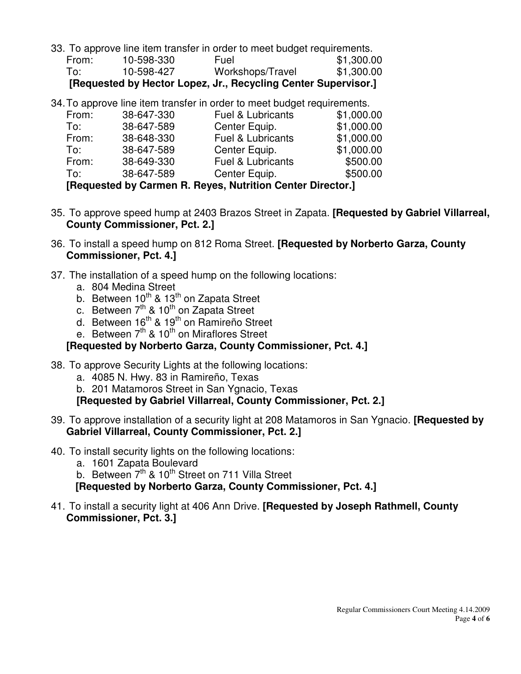33. To approve line item transfer in order to meet budget requirements.

| [Requested by Hector Lopez, Jr., Recycling Center Supervisor.] |            |                  |            |  |  |
|----------------------------------------------------------------|------------|------------------|------------|--|--|
| To:                                                            | 10-598-427 | Workshops/Travel | \$1,300.00 |  |  |
| From:                                                          | 10-598-330 | Fuel             | \$1,300.00 |  |  |

34. To approve line item transfer in order to meet budget requirements.

| To:   | 38-647-589 | Center Equip.                | \$500.00   |  |
|-------|------------|------------------------------|------------|--|
| From: | 38-649-330 | <b>Fuel &amp; Lubricants</b> | \$500.00   |  |
| To:   | 38-647-589 | Center Equip.                | \$1,000.00 |  |
| From: | 38-648-330 | <b>Fuel &amp; Lubricants</b> | \$1,000.00 |  |
| To:   | 38-647-589 | Center Equip.                | \$1,000.00 |  |
| From: | 38-647-330 | <b>Fuel &amp; Lubricants</b> | \$1,000.00 |  |
|       |            |                              |            |  |

**[Requested by Carmen R. Reyes, Nutrition Center Director.]** 

- 35. To approve speed hump at 2403 Brazos Street in Zapata. **[Requested by Gabriel Villarreal, County Commissioner, Pct. 2.]**
- 36. To install a speed hump on 812 Roma Street. **[Requested by Norberto Garza, County Commissioner, Pct. 4.]**
- 37. The installation of a speed hump on the following locations:
	- a. 804 Medina Street
	- b. Between  $10^{th}$  &  $13^{th}$  on Zapata Street
	- c. Between 7<sup>th</sup> & 10<sup>th</sup> on Zapata Street
	- d. Between 16<sup>th</sup> & 19<sup>th</sup> on Ramireño Street
	- e. Between 7<sup>th</sup> & 10<sup>th</sup> on Miraflores Street

#### **[Requested by Norberto Garza, County Commissioner, Pct. 4.]**

- 38. To approve Security Lights at the following locations:
	- a. 4085 N. Hwy. 83 in Ramireño, Texas

b. 201 Matamoros Street in San Ygnacio, Texas

**[Requested by Gabriel Villarreal, County Commissioner, Pct. 2.]** 

- 39. To approve installation of a security light at 208 Matamoros in San Ygnacio. **[Requested by Gabriel Villarreal, County Commissioner, Pct. 2.]**
- 40. To install security lights on the following locations:
	- a. 1601 Zapata Boulevard

b. Between 7<sup>th</sup> & 10<sup>th</sup> Street on 711 Villa Street

**[Requested by Norberto Garza, County Commissioner, Pct. 4.]** 

41. To install a security light at 406 Ann Drive. **[Requested by Joseph Rathmell, County Commissioner, Pct. 3.]**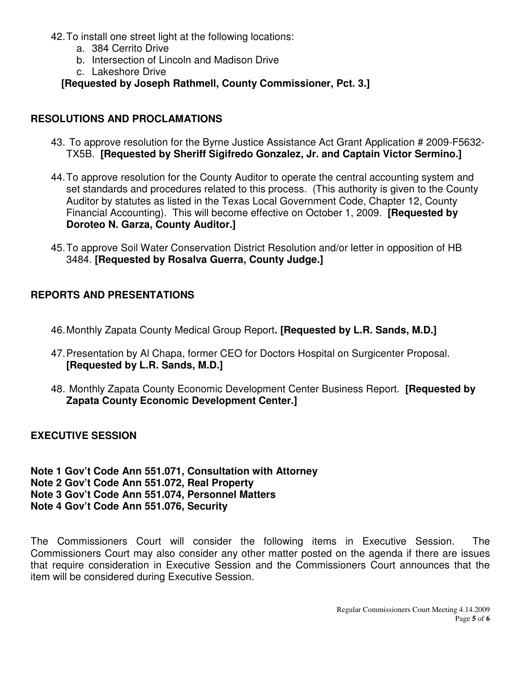- 42. To install one street light at the following locations:
	- a. 384 Cerrito Drive
	- b. Intersection of Lincoln and Madison Drive
	- c. Lakeshore Drive

## **[Requested by Joseph Rathmell, County Commissioner, Pct. 3.]**

### **RESOLUTIONS AND PROCLAMATIONS**

- 43. To approve resolution for the Byrne Justice Assistance Act Grant Application # 2009-F5632- TX5B. **[Requested by Sheriff Sigifredo Gonzalez, Jr. and Captain Victor Sermino.]**
- 44. To approve resolution for the County Auditor to operate the central accounting system and set standards and procedures related to this process. (This authority is given to the County Auditor by statutes as listed in the Texas Local Government Code, Chapter 12, County Financial Accounting). This will become effective on October 1, 2009. **[Requested by Doroteo N. Garza, County Auditor.]**
- 45. To approve Soil Water Conservation District Resolution and/or letter in opposition of HB 3484. **[Requested by Rosalva Guerra, County Judge.]**

## **REPORTS AND PRESENTATIONS**

- 46. Monthly Zapata County Medical Group Report**. [Requested by L.R. Sands, M.D.]**
- 47. Presentation by Al Chapa, former CEO for Doctors Hospital on Surgicenter Proposal. **[Requested by L.R. Sands, M.D.]**
- 48. Monthly Zapata County Economic Development Center Business Report. **[Requested by Zapata County Economic Development Center.]**

**EXECUTIVE SESSION** 

**Note 1 Gov't Code Ann 551.071, Consultation with Attorney Note 2 Gov't Code Ann 551.072, Real Property Note 3 Gov't Code Ann 551.074, Personnel Matters Note 4 Gov't Code Ann 551.076, Security** 

The Commissioners Court will consider the following items in Executive Session. The Commissioners Court may also consider any other matter posted on the agenda if there are issues that require consideration in Executive Session and the Commissioners Court announces that the item will be considered during Executive Session.